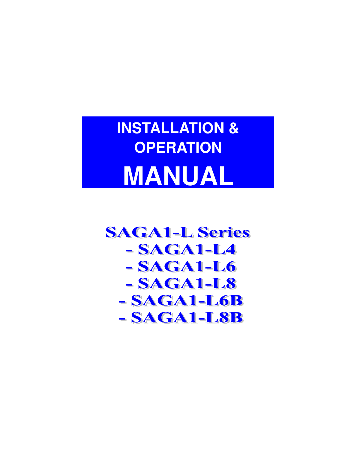**INSTALLATION & OPERATION MANUAL** 

**SAGA1-L Series** - SAGA1-L4 -SAGA1-L6 -SAGA1-L8 - SAGA1-L6B  $-SAGA1-L8B$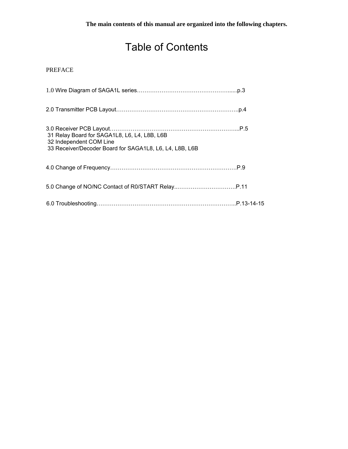# Table of Contents

### PREFACE

| 31 Relay Board for SAGA1L8, L6, L4, L8B, L6B<br>32 Independent COM Line<br>33 Receiver/Decoder Board for SAGA1L8, L6, L4, L8B, L6B |  |
|------------------------------------------------------------------------------------------------------------------------------------|--|
|                                                                                                                                    |  |
|                                                                                                                                    |  |
|                                                                                                                                    |  |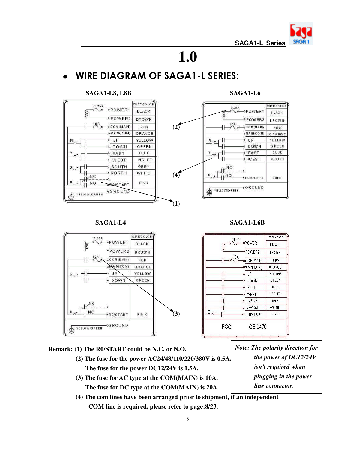

**1.0** 

## WIRE DIAGRAM OF SAGA1-L SERIES:



**SAGA1-L4**



#### **SAGA1-L6B**

|              | <b>WIRECOLOR</b> |
|--------------|------------------|
| oPOWER1      | <b>BLACK</b>     |
| ≏POWER2      | <b>BROWN</b>     |
| ⊙COM(MAIN)   | RED              |
| oMAIN(COM)   | 0 RANGE          |
| UP<br>Ō      | YELLOW           |
| DOWN<br>Ó    | <b>GREEN</b>     |
| EAST<br>Ō    | <b>BLUE</b>      |
| WEST<br>٥    | VIOLET           |
| U/D 2S       | GREY             |
| EMV 2S<br>ö  | WHITE            |
| ROSTART<br>a | PINK             |
| CE 0470      |                  |
|              | 0.5A<br>10A      |

### **Remark: (1) The R0/START could be N.C. or N.O.**

- **(2) The fuse for the power AC24/48/110/220/380V is 0.5A. The fuse for the power DC12/24V is 1.5A.**
- **(3) The fuse for AC type at the COM(MAIN) is 10A. The fuse for DC type at the COM(MAIN) is 20A.**
- **(4) The com lines have been arranged prior to shipment, if an independent COM line is required, please refer to page:8/23.**

*Note: The polarity direction for the power of DC12/24V isn't required when plugging in the power line connector.*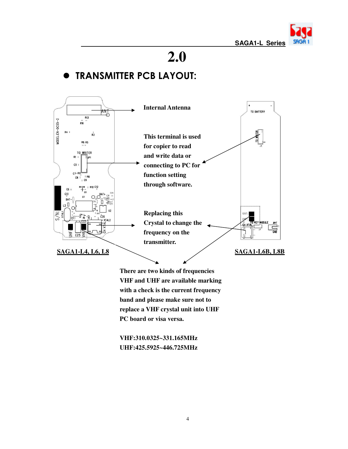

**2.0** 

# **• TRANSMITTER PCB LAYOUT:**



**VHF and UHF are available marking with a check is the current frequency band and please make sure not to replace a VHF crystal unit into UHF PC board or visa versa.** 

**VHF:310.0325~331.165MHz UHF:425.5925~446.725MHz**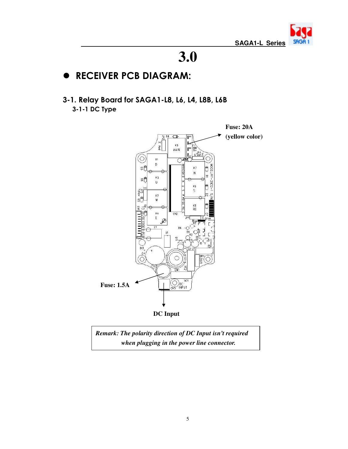

# **• RECEIVER PCB DIAGRAM:**

3-1. Relay Board for SAGA1-L8, L6, L4, L8B, L6B 3-1-1 DC Type



*Remark: The polarity direction of DC Input isn't required when plugging in the power line connector.*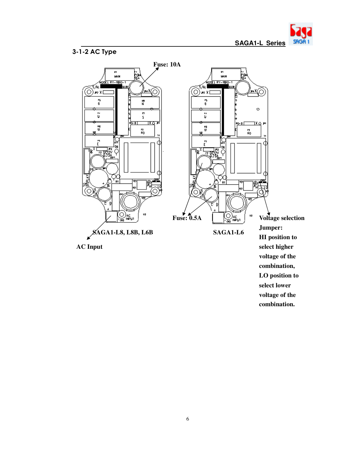

**LO position to select lower voltage of the combination.** 

## 3-1-2 AC Type

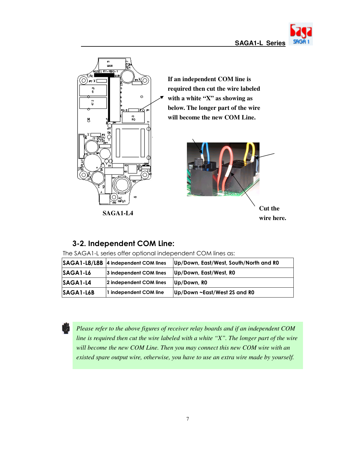



**If an independent COM line is required then cut the wire labeled with a white "X" as showing as below. The longer part of the wire will become the new COM Line.** 



## 3-2. Independent COM Line:

The SAGA1-L series offer optional independent COM lines as:

|            | SAGA1-L8/L8B 4 independent COM lines | Up/Down, East/West, South/North and R0 |
|------------|--------------------------------------|----------------------------------------|
| SAGA1-L6   | 3 independent COM lines              | Up/Down, East/West, R0                 |
| $SAGA1-L4$ | 2 independent COM lines              | Up/Down, R0                            |
| SAGA1-L6B  | 1 independent COM line               | Up/Down ~East/West 2S and R0           |

*Please refer to the above figures of receiver relay boards and if an independent COM line is required then cut the wire labeled with a white "X". The longer part of the wire will become the new COM Line. Then you may connect this new COM wire with an existed spare output wire, otherwise, you have to use an extra wire made by yourself.*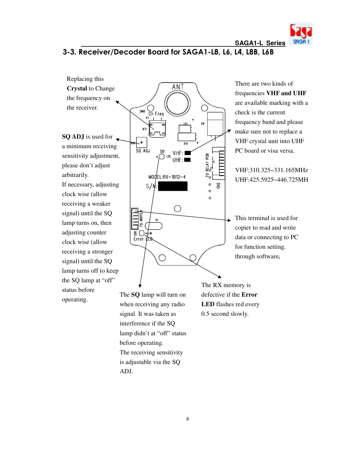

### **SAGA1-L Series**  3-3. Receiver/Decoder Board for SAGA1-L8, L6, L4, L8B, L6B

Replacing this ANT **Crystal** to Change the frequency on the receiver.  $\bigcup_{\mathsf{Ch} \ \mathsf{Freq}}$ GND  $\mathbf{u}$ XT) **SQ ADJ** is used for a minimum receiving SQ ADJ  $+$ <sup>SQ</sup>  $+$ <sup>SQ</sup> UHF : **RELAY PCB** sensitivity adjustment, please don't adjust  $\frac{1}{2}$ arbitrarily.  $MOQEL:RX-1B12-4$  $\tilde{\mathbf{g}}$ If necessary, adjusting  $\circ$  $S/N$ o clock wise (allow  $\circ$ receiving a weaker Ο signal) until the SQ X1 lamp turns on, then P adjusting counter  $\overline{z}$   $\overline{O}$ + $\overline{L}$ 16 Error LED clock wise (allow receiving a stronger  $\bigcirc$ signal) until the SQ lamp turns off to keep the SQ lamp at "off" status before The **SQ** lamp will turn on operating. when receiving any radio signal. It was taken as interference if the SQ

lamp didn't at "off" status

The receiving sensitivity is adjustable via the SQ

before operating.

ADJ.

There are two kinds of frequencies **VHF and UHF** are available marking with a check is the current frequency band and please make sure not to replace a VHF crystal unit into UHF PC board or visa versa.

VHF:310.325~331.165MHz UHF:425.5925~446.725MH

This terminal is used for copier to read and write data or connecting to PC for function setting. through software**.** 

The RX memory is defective if the **Error LED** flashes red every 0.5 second slowly.

8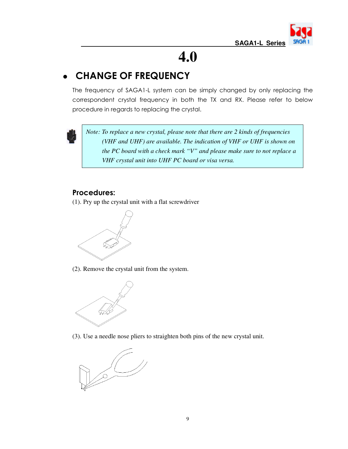

# **4.0**

# CHANGE OF FREQUENCY

The frequency of SAGA1-L system can be simply changed by only replacing the correspondent crystal frequency in both the TX and RX. Please refer to below procedure in regards to replacing the crystal.



*Note: To replace a new crystal, please note that there are 2 kinds of frequencies (VHF and UHF) are available. The indication of VHF or UHF is shown on the PC board with a check mark "V" and please make sure to not replace a VHF crystal unit into UHF PC board or visa versa.* 

## Procedures:

(1). Pry up the crystal unit with a flat screwdriver



(2). Remove the crystal unit from the system.



(3). Use a needle nose pliers to straighten both pins of the new crystal unit.

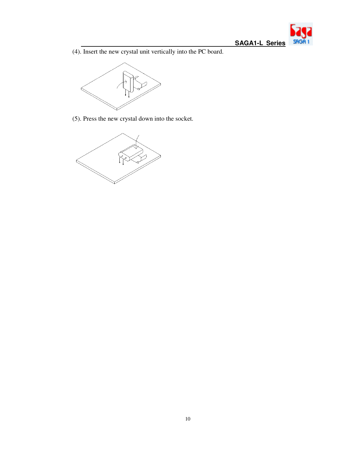

(4). Insert the new crystal unit vertically into the PC board.



(5). Press the new crystal down into the socket.

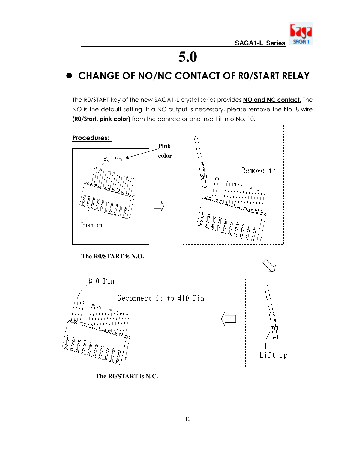

# CHANGE OF NO/NC CONTACT OF R0/START RELAY

The RO/START key of the new SAGA1-L crystal series provides NO and NC contact. The NO is the default setting. If a NC output is necessary, please remove the No. 8 wire (R0/Start, pink color) from the connector and insert it into No. 10.



**The R0/START is N.C.**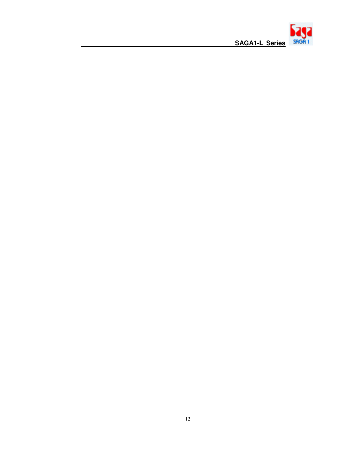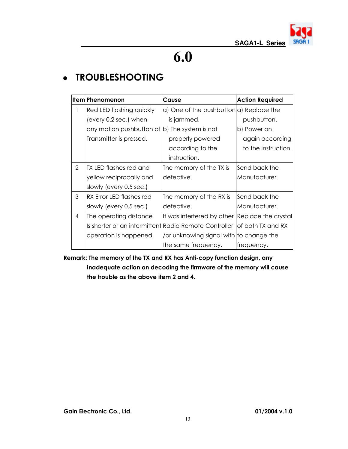

# **• TROUBLESHOOTING**

|   | <b>Item Phenomenon</b>                                                  | Cause                                          | <b>Action Required</b> |
|---|-------------------------------------------------------------------------|------------------------------------------------|------------------------|
|   | Red LED flashing quickly                                                | a) One of the pushbutton a) Replace the        |                        |
|   | (every 0.2 sec.) when                                                   | is jammed.                                     | pushbutton.            |
|   | any motion pushbutton of b) The system is not                           |                                                | b) Power on            |
|   | Transmitter is pressed.                                                 | properly powered                               | again according        |
|   |                                                                         | according to the                               | to the instruction.    |
|   |                                                                         | instruction.                                   |                        |
| 2 | TX LED flashes red and                                                  | The memory of the TX is                        | Send back the          |
|   | yellow reciprocally and                                                 | defective.                                     | Manufacturer.          |
|   | slowly (every 0.5 sec.)                                                 |                                                |                        |
| 3 | <b>RX Error LED flashes red</b>                                         | The memory of the RX is                        | Send back the          |
|   | slowly (every 0.5 sec.)                                                 | defective.                                     | Manufacturer.          |
| 4 | The operating distance                                                  | It was interfered by other Replace the crystal |                        |
|   | Is shorter or an intermittent Radio Remote Controller of both TX and RX |                                                |                        |
|   | operation is happened.                                                  | /or unknowing signal with to change the        |                        |
|   |                                                                         | the same frequency.                            | trequency.             |

Remark: The memory of the TX and RX has Anti-copy function design, any inadequate action on decoding the firmware of the memory will cause the trouble as the above item 2 and 4.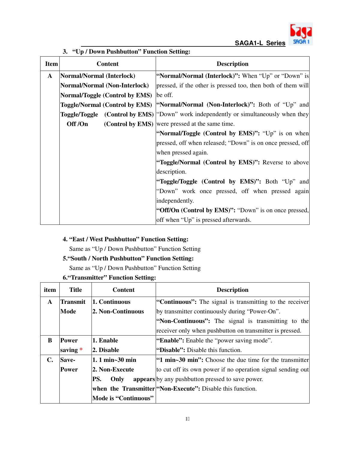

| 3. |  | "Up / Down Pushbutton" Function Setting: |  |  |
|----|--|------------------------------------------|--|--|
|----|--|------------------------------------------|--|--|

| <b>Item</b>  |                                  | <b>Content</b>                        | <b>Description</b>                                                                          |
|--------------|----------------------------------|---------------------------------------|---------------------------------------------------------------------------------------------|
| $\mathbf{A}$ | <b>Normal/Normal (Interlock)</b> |                                       | "Normal/Normal (Interlock)": When "Up" or "Down" is                                         |
|              |                                  | Normal/Normal (Non-Interlock)         | pressed, if the other is pressed too, then both of them will                                |
|              |                                  | <b>Normal/Toggle (Control by EMS)</b> | be off.                                                                                     |
|              |                                  | Toggle/Normal (Control by EMS)        | "Normal/Normal (Non-Interlock)": Both of "Up" and                                           |
|              |                                  |                                       | <b>Toggle/Toggle</b> (Control by EMS) "Down" work independently or simultaneously when they |
|              | Off/On                           |                                       | (Control by EMS) were pressed at the same time.                                             |
|              |                                  |                                       | "Normal/Toggle (Control by EMS)": "Up" is on when                                           |
|              |                                  |                                       | pressed, off when released; "Down" is on once pressed, off                                  |
|              |                                  |                                       | when pressed again.                                                                         |
|              |                                  |                                       | "Toggle/Normal (Control by EMS)": Reverse to above                                          |
|              |                                  |                                       | description.                                                                                |
|              |                                  |                                       | "Toggle/Toggle (Control by EMS)": Both "Up" and                                             |
|              |                                  |                                       | "Down" work once pressed, off when pressed again                                            |
|              |                                  |                                       | independently.                                                                              |
|              |                                  |                                       | "Off/On (Control by EMS)": "Down" is on once pressed,                                       |
|              |                                  |                                       | off when "Up" is pressed afterwards.                                                        |

## **4. "East / West Pushbutton" Function Setting:**

Same as "Up / Down Pushbutton" Function Setting

### **5."South / North Pushbutton" Function Setting:**

Same as "Up / Down Pushbutton" Function Setting

**6."Transmitter" Function Setting:**

| item           | Title           | <b>Content</b>       | <b>Description</b>                                          |
|----------------|-----------------|----------------------|-------------------------------------------------------------|
| $\mathbf{A}$   | <b>Transmit</b> | 1. Continuous        | "Continuous": The signal is transmitting to the receiver    |
|                | Mode            | 2. Non-Continuous    | by transmitter continuously during "Power-On".              |
|                |                 |                      | "Non-Continuous": The signal is transmitting to the         |
|                |                 |                      | receiver only when pushbutton on transmitter is pressed.    |
| B              | <b>Power</b>    | 1. Enable            | "Enable": Enable the "power saving mode".                   |
|                | saving $*$      | 2. Disable           | "Disable": Disable this function.                           |
| $\mathbf{C}$ . | Save-           | 1. 1 min~30 min      | "1 min~30 min": Choose the due time for the transmitter     |
|                | <b>Power</b>    | 2. Non-Execute       | to cut off its own power if no operation signal sending out |
|                |                 | PS.<br>Only          | <b>appears</b> by any pushbutton pressed to save power.     |
|                |                 |                      | when the Transmitter "Non-Execute": Disable this function.  |
|                |                 | Mode is "Continuous" |                                                             |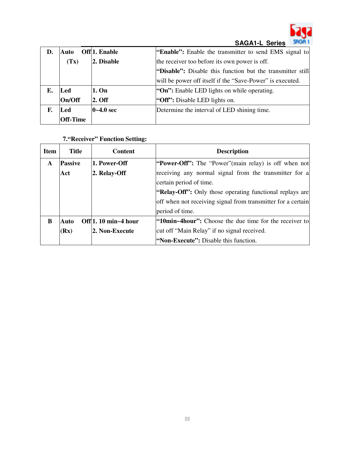SAGA1-L Series **SAGA1** 

|    |                 |                           | UAUAI-L UUIIUJ                                             |
|----|-----------------|---------------------------|------------------------------------------------------------|
| D. | Auto            | Off <sup>1</sup> . Enable | "Enable": Enable the transmitter to send EMS signal to     |
|    | (Tx)            | 2. Disable                | the receiver too before its own power is off.              |
|    |                 |                           | "Disable": Disable this function but the transmitter still |
|    |                 |                           | will be power off itself if the "Save-Power" is executed.  |
| E. | Led             | 1. On                     | "On": Enable LED lights on while operating.                |
|    | On/Off          | $2.$ Off                  | "Off": Disable LED lights on.                              |
| F. | Led             | $0 - 4.0$ sec             | Determine the interval of LED shining time.                |
|    | <b>Off-Time</b> |                           |                                                            |

## **7."Receiver" Function Setting:**

| Item | Title          | <b>Content</b>                   | <b>Description</b>                                              |
|------|----------------|----------------------------------|-----------------------------------------------------------------|
| A    | <b>Passive</b> | 1. Power-Off                     | "Power-Off": The "Power" (main relay) is off when not           |
|      | Act            | 2. Relay-Off                     | receiving any normal signal from the transmitter for a          |
|      |                |                                  | certain period of time.                                         |
|      |                |                                  | <b>"Relay-Off":</b> Only those operating functional replays are |
|      |                |                                  | off when not receiving signal from transmitter for a certain    |
|      |                |                                  | period of time.                                                 |
| B    | Auto           | Off <sup>1</sup> 1.10 min~4 hour | "10min~4hour": Choose the due time for the receiver to          |
|      | (Rx)           | 2. Non-Execute                   | cut off "Main Relay" if no signal received.                     |
|      |                |                                  | "Non-Execute": Disable this function.                           |